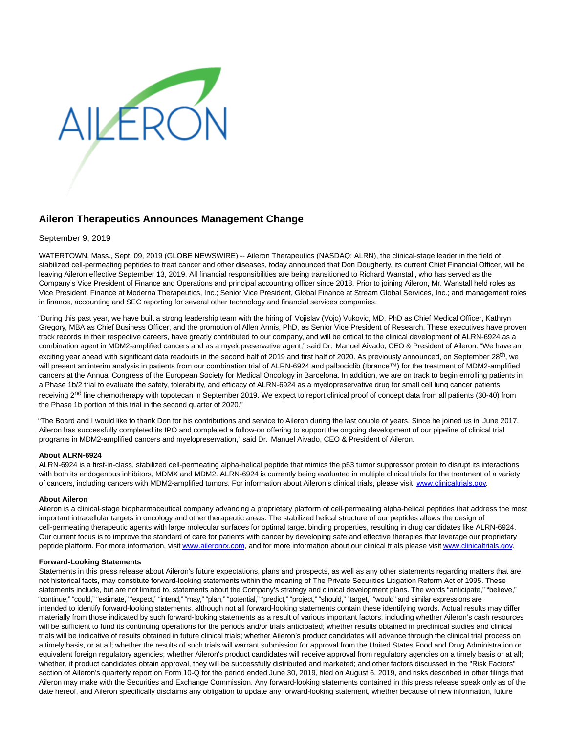

# **Aileron Therapeutics Announces Management Change**

## September 9, 2019

WATERTOWN, Mass., Sept. 09, 2019 (GLOBE NEWSWIRE) -- Aileron Therapeutics (NASDAQ: ALRN), the clinical-stage leader in the field of stabilized cell-permeating peptides to treat cancer and other diseases, today announced that Don Dougherty, its current Chief Financial Officer, will be leaving Aileron effective September 13, 2019. All financial responsibilities are being transitioned to Richard Wanstall, who has served as the Company's Vice President of Finance and Operations and principal accounting officer since 2018. Prior to joining Aileron, Mr. Wanstall held roles as Vice President, Finance at Moderna Therapeutics, Inc.; Senior Vice President, Global Finance at Stream Global Services, Inc.; and management roles in finance, accounting and SEC reporting for several other technology and financial services companies.

"During this past year, we have built a strong leadership team with the hiring of Vojislav (Vojo) Vukovic, MD, PhD as Chief Medical Officer, Kathryn Gregory, MBA as Chief Business Officer, and the promotion of Allen Annis, PhD, as Senior Vice President of Research. These executives have proven track records in their respective careers, have greatly contributed to our company, and will be critical to the clinical development of ALRN-6924 as a combination agent in MDM2-amplified cancers and as a myelopreservative agent," said Dr. Manuel Aivado, CEO & President of Aileron. "We have an exciting year ahead with significant data readouts in the second half of 2019 and first half of 2020. As previously announced, on September 28<sup>th</sup>, we will present an interim analysis in patients from our combination trial of ALRN-6924 and palbociclib (Ibrance™) for the treatment of MDM2-amplified cancers at the Annual Congress of the European Society for Medical Oncology in Barcelona. In addition, we are on track to begin enrolling patients in a Phase 1b/2 trial to evaluate the safety, tolerability, and efficacy of ALRN-6924 as a myelopreservative drug for small cell lung cancer patients receiving 2<sup>nd</sup> line chemotherapy with topotecan in September 2019. We expect to report clinical proof of concept data from all patients (30-40) from the Phase 1b portion of this trial in the second quarter of 2020."

"The Board and I would like to thank Don for his contributions and service to Aileron during the last couple of years. Since he joined us in June 2017, Aileron has successfully completed its IPO and completed a follow-on offering to support the ongoing development of our pipeline of clinical trial programs in MDM2-amplified cancers and myelopreservation," said Dr. Manuel Aivado, CEO & President of Aileron.

#### **About ALRN-6924**

ALRN-6924 is a first-in-class, stabilized cell-permeating alpha-helical peptide that mimics the p53 tumor suppressor protein to disrupt its interactions with both its endogenous inhibitors, MDMX and MDM2. ALRN-6924 is currently being evaluated in multiple clinical trials for the treatment of a variety of cancers, including cancers with MDM2-amplified tumors. For information about Aileron's clinical trials, please visit [www.clinicaltrials.gov.](https://www.globenewswire.com/Tracker?data=yLKEcM3ZxPMC9W2xcLTlnkcGuwKZ19Se7pc2i53Qw_HRSw_1gbuJl__zsTRx9er6TzsNIHGX-bpvgrIC_ol4p80SPUs26VfsPR3MecnRt4A=)

## **About Aileron**

Aileron is a clinical-stage biopharmaceutical company advancing a proprietary platform of cell-permeating alpha-helical peptides that address the most important intracellular targets in oncology and other therapeutic areas. The stabilized helical structure of our peptides allows the design of cell-permeating therapeutic agents with large molecular surfaces for optimal target binding properties, resulting in drug candidates like ALRN-6924. Our current focus is to improve the standard of care for patients with cancer by developing safe and effective therapies that leverage our proprietary peptide platform. For more information, visi[t www.aileronrx.com,](http://www.aileronrx.com/) and for more information about our clinical trials please visit [www.clinicaltrials.gov.](http://www.clinicaltrials.gov/)

#### **Forward-Looking Statements**

Statements in this press release about Aileron's future expectations, plans and prospects, as well as any other statements regarding matters that are not historical facts, may constitute forward-looking statements within the meaning of The Private Securities Litigation Reform Act of 1995. These statements include, but are not limited to, statements about the Company's strategy and clinical development plans. The words "anticipate," "believe," "continue," "could," "estimate," "expect," "intend," "may," "plan," "potential," "predict," "project," "should," "target," "would" and similar expressions are intended to identify forward-looking statements, although not all forward-looking statements contain these identifying words. Actual results may differ materially from those indicated by such forward-looking statements as a result of various important factors, including whether Aileron's cash resources will be sufficient to fund its continuing operations for the periods and/or trials anticipated; whether results obtained in preclinical studies and clinical trials will be indicative of results obtained in future clinical trials; whether Aileron's product candidates will advance through the clinical trial process on a timely basis, or at all; whether the results of such trials will warrant submission for approval from the United States Food and Drug Administration or equivalent foreign regulatory agencies; whether Aileron's product candidates will receive approval from regulatory agencies on a timely basis or at all; whether, if product candidates obtain approval, they will be successfully distributed and marketed; and other factors discussed in the "Risk Factors" section of Aileron's quarterly report on Form 10-Q for the period ended June 30, 2019, filed on August 6, 2019, and risks described in other filings that Aileron may make with the Securities and Exchange Commission. Any forward-looking statements contained in this press release speak only as of the date hereof, and Aileron specifically disclaims any obligation to update any forward-looking statement, whether because of new information, future